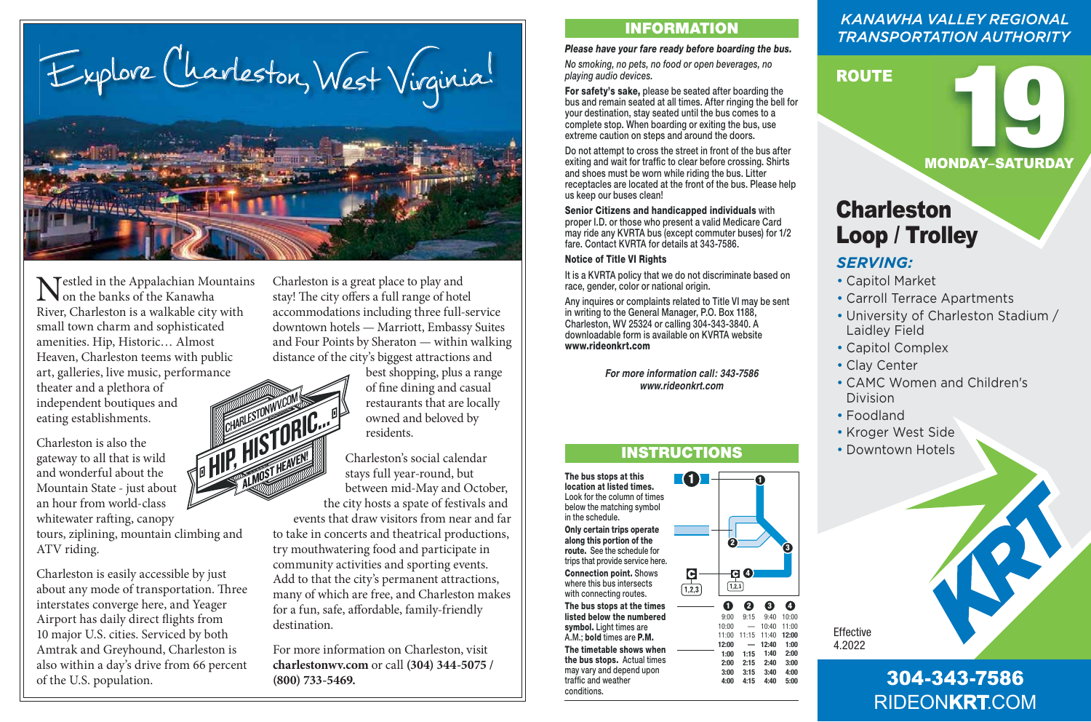Explore Charleston, West Virginia!

**Nestled in the Appalachian Mountains IN** on the banks of the Kanawha River, Charleston is a walkable city with small town charm and sophisticated amenities. Hip, Historic… Almost Heaven, Charleston teems with public art, galleries, live music, performance theater and a plethora of eating establishments.

Charleston is also the gateway to all that is wild and wonderful about the Mountain State - just about an hour from world-class whitewater rafting, canopy tours, ziplining, mountain climbing and ATV riding.

Charleston is easily accessible by just about any mode of transportation. Three interstates converge here, and Yeager Airport has daily direct flights from 10 major U.S. cities. Serviced by both Amtrak and Greyhound, Charleston is also within a day's drive from 66 percent of the U.S. population.

Charleston is a great place to play and stay! The city offers a full range of hotel accommodations including three full-service downtown hotels — Marriott, Embassy Suites and Four Points by Sheraton — within walking distance of the city's biggest attractions and

> best shopping, plus a range of fine dining and casual restaurants that are locally owned and beloved by residents.

Charleston's social calendar stays full year-round, but between mid-May and October, the city hosts a spate of festivals and events that draw visitors from near and far to take in concerts and theatrical productions, try mouthwatering food and participate in community activities and sporting events. Add to that the city's permanent attractions, many of which are free, and Charleston makes for a fun, safe, affordable, family-friendly destination.

For more information on Charleston, visit **charlestonwv.com** or call **(304) 344-5075 /** (800) 733-5469.<br> **304-343-7586** 

### **INFORMATION**

#### *Please have your fare ready before boarding the bus.*

*No smoking, no pets, no food or open beverages, no playing audio devices.*

**For safety's sake,** please be seated after boarding the bus and remain seated at all times. After ringing the bell for your destination, stay seated until the bus comes to a complete stop. When boarding or exiting the bus, use extreme caution on steps and around the doors.

Do not attempt to cross the street in front of the bus after exiting and wait for traffic to clear before crossing. Shirts and shoes must be worn while riding the bus. Litter receptacles are located at the front of the bus. Please help us keep our buses clean!

**Senior Citizens and handicapped individuals** with proper I.D. or those who present a valid Medicare Card may ride any KVRTA bus (except commuter buses) for 1/2 fare. Contact KVRTA for details at 343-7586.

#### **Notice of Title VI Rights**

It is a KVRTA policy that we do not discriminate based on race, gender, color or national origin.

Any inquires or complaints related to Title VI may be sent in writing to the General Manager, P.O. Box 1188, Charleston, WV 25324 or calling 304-343-3840. A downloadable form is available on KVRTA website **www.rideonkrt.com** 

> *For more information call: 343-7586 www.rideonkrt.com*

# **INSTRUCTIONS**

**1 The bus stops at this location at listed times.**  Look for the column of times below the matching symbol in the schedule. **Only certain trips operate along this portion of the route.** See the schedule for trips that provide service here. **Connection point.** Shows where this bus intersects with connecting routes. **The bus stops at the times listed below the numbered**  symbol. Light times are A.M.; **bold** times are **P.M. The timetable shows when the bus stops.** Actual times may vary and depend upon traffic and weather conditions.

#### **3**  $-$ **4**  $\bullet$  **1**<br> $\frac{1}{1,2,3}$  $|{\bf C}|$  $\sqrt{1.2.3}$

**2**

**1**

**1 2 3 4** 9:00 10:00 11:00 11:15 11:40 **12:00 12:00 1:00 2:00 3:00 4:00** 9:15 — **— 1:15 2:15 2:40 3:00 3:15 3:40 4:00 4:15 4:40** 9:40 10:40 **12:40 1:40** 10:00 11:00 **1:00 2:00 5:00**

# **KANAWHA VALLEY REGIONAL TRANSPORTATION AUTHORITY**

# ROUTE

MONDAY–SATURDAY

# Charleston Loop / Trolley

# *SERVING:*

- Capitol Market
- Carroll Terrace Apartments
- University of Charleston Stadium / Laidley Field
- Capitol Complex
- Clay Center
- CAMC Women and Children's Division
- Foodland
- Kroger West Side
- Downtown Hotels



RIDEON**KRT**.COM